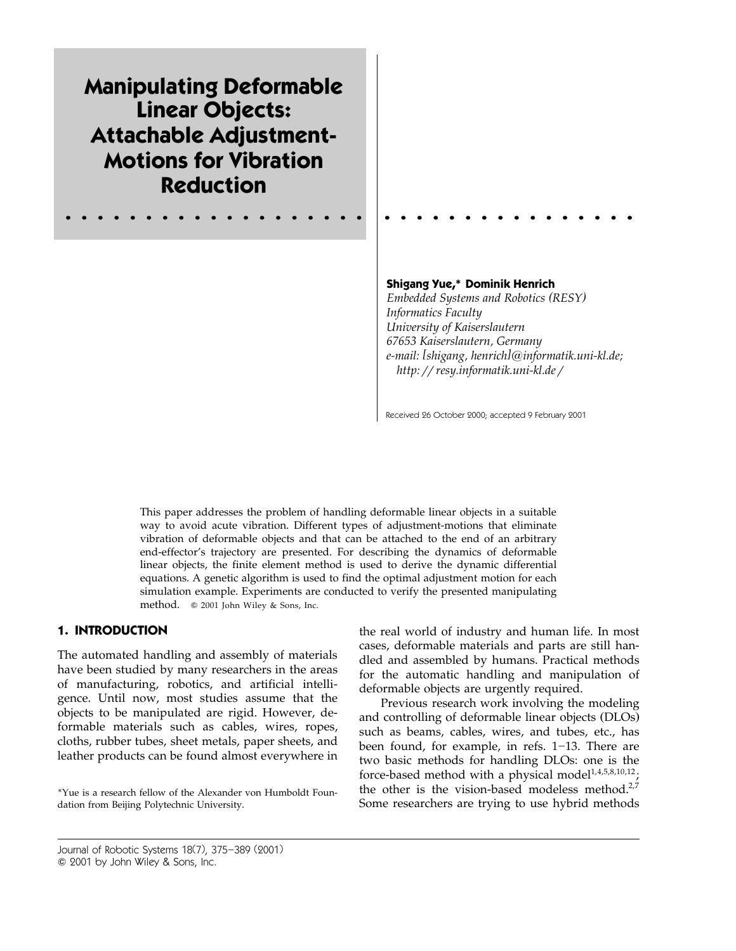**Manipulating Deformable Linear Objects: Attachable Adjustment-Motions for Vibration Reduction**

## **Shigang Yue,\* Dominik Henrich**

*Embedded Systems and Robotics RESY ( ) Informatics Faculty University of Kaiserslautern 67653 Kaiserslautern, Germany e-mail: shigang, henrich [ ]*@*informatik.uni-kl.de; http:resy.informatik.uni-kl.de*

Received 26 October 2000; accepted 9 February 2001

This paper addresses the problem of handling deformable linear objects in a suitable way to avoid acute vibration. Different types of adjustment-motions that eliminate vibration of deformable objects and that can be attached to the end of an arbitrary end-effector's trajectory are presented. For describing the dynamics of deformable linear objects, the finite element method is used to derive the dynamic differential equations. A genetic algorithm is used to find the optimal adjustment motion for each simulation example. Experiments are conducted to verify the presented manipulating method. © 2001 John Wiley & Sons, Inc.

## **1. INTRODUCTION**

The automated handling and assembly of materials have been studied by many researchers in the areas of manufacturing, robotics, and artificial intelligence. Until now, most studies assume that the objects to be manipulated are rigid. However, deformable materials such as cables, wires, ropes, cloths, rubber tubes, sheet metals, paper sheets, and leather products can be found almost everywhere in

\*Yue is a research fellow of the Alexander von Humboldt Foundation from Beijing Polytechnic University.

the real world of industry and human life. In most cases, deformable materials and parts are still handled and assembled by humans. Practical methods for the automatic handling and manipulation of deformable objects are urgently required.

Previous research work involving the modeling and controlling of deformable linear objects (DLOs) such as beams, cables, wires, and tubes, etc., has been found, for example, in refs.  $1-13$ . There are two basic methods for handling DLOs: one is the force-based method with a physical model<sup>1,4,5,8,10,12</sup>; the other is the vision-based modeless method. $2,7$ Some researchers are trying to use hybrid methods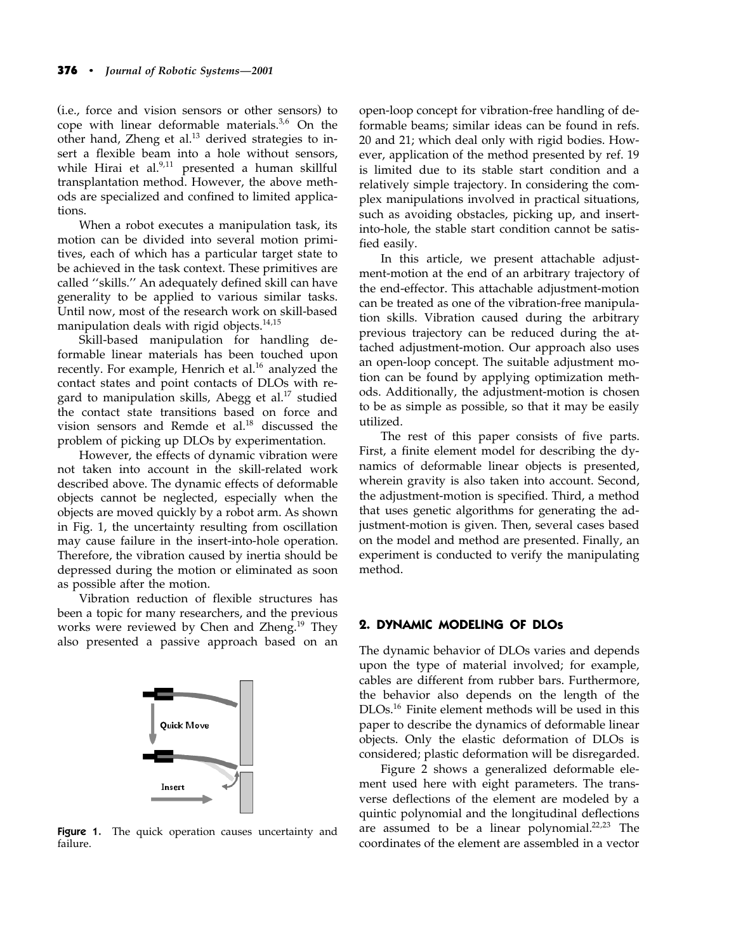(i.e., force and vision sensors or other sensors) to cope with linear deformable materials.<sup>3,6</sup> On the other hand, Zheng et al.<sup>13</sup> derived strategies to insert a flexible beam into a hole without sensors, while Hirai et al.<sup>9,11</sup> presented a human skillful transplantation method. However, the above methods are specialized and confined to limited applications.

When a robot executes a manipulation task, its motion can be divided into several motion primitives, each of which has a particular target state to be achieved in the task context. These primitives are called ''skills.'' An adequately defined skill can have generality to be applied to various similar tasks. Until now, most of the research work on skill-based manipulation deals with rigid objects. 14,15

Skill-based manipulation for handling deformable linear materials has been touched upon recently. For example, Henrich et al.<sup>16</sup> analyzed the contact states and point contacts of DLOs with regard to manipulation skills, Abegg et al. <sup>17</sup> studied the contact state transitions based on force and vision sensors and Remde et al. <sup>18</sup> discussed the problem of picking up DLOs by experimentation.

However, the effects of dynamic vibration were not taken into account in the skill-related work described above. The dynamic effects of deformable objects cannot be neglected, especially when the objects are moved quickly by a robot arm. As shown in Fig. 1, the uncertainty resulting from oscillation may cause failure in the insert-into-hole operation. Therefore, the vibration caused by inertia should be depressed during the motion or eliminated as soon as possible after the motion.

Vibration reduction of flexible structures has been a topic for many researchers, and the previous works were reviewed by Chen and Zheng.<sup>19</sup> They also presented a passive approach based on an



Figure 1. The quick operation causes uncertainty and failure.

open-loop concept for vibration-free handling of deformable beams; similar ideas can be found in refs. 20 and 21; which deal only with rigid bodies. However, application of the method presented by ref. 19 is limited due to its stable start condition and a relatively simple trajectory. In considering the complex manipulations involved in practical situations, such as avoiding obstacles, picking up, and insertinto-hole, the stable start condition cannot be satisfied easily.

In this article, we present attachable adjustment-motion at the end of an arbitrary trajectory of the end-effector. This attachable adjustment-motion can be treated as one of the vibration-free manipulation skills. Vibration caused during the arbitrary previous trajectory can be reduced during the attached adjustment-motion. Our approach also uses an open-loop concept. The suitable adjustment motion can be found by applying optimization methods. Additionally, the adjustment-motion is chosen to be as simple as possible, so that it may be easily utilized.

The rest of this paper consists of five parts. First, a finite element model for describing the dynamics of deformable linear objects is presented, wherein gravity is also taken into account. Second, the adjustment-motion is specified. Third, a method that uses genetic algorithms for generating the adjustment-motion is given. Then, several cases based on the model and method are presented. Finally, an experiment is conducted to verify the manipulating method.

# **2. DYNAMIC MODELING OF DLOs**

The dynamic behavior of DLOs varies and depends upon the type of material involved; for example, cables are different from rubber bars. Furthermore, the behavior also depends on the length of the DLOs. <sup>16</sup> Finite element methods will be used in this paper to describe the dynamics of deformable linear objects. Only the elastic deformation of DLOs is considered; plastic deformation will be disregarded.

Figure 2 shows a generalized deformable element used here with eight parameters. The transverse deflections of the element are modeled by a quintic polynomial and the longitudinal deflections are assumed to be a linear polynomial.<sup>22,23</sup> The coordinates of the element are assembled in a vector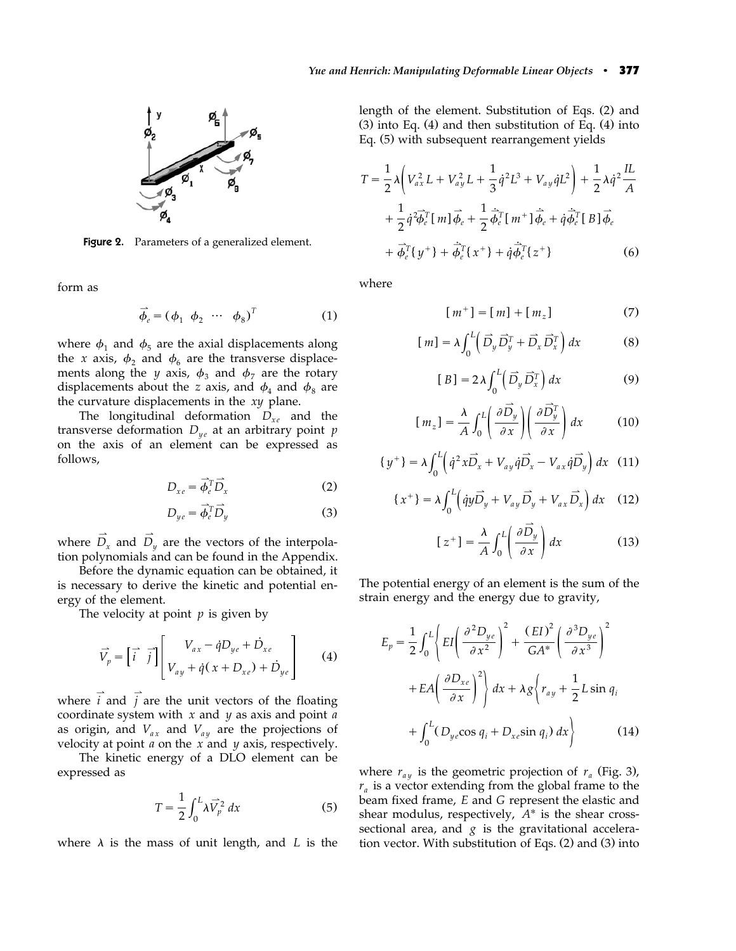

Figure 2. Parameters of a generalized element.

form as

$$
\vec{\phi}_e = (\phi_1 \ \phi_2 \ \cdots \ \phi_8)^T \tag{1}
$$

where  $\phi_1$  and  $\phi_5$  are the axial displacements along the *x* axis,  $\phi_2$  and  $\phi_6$  are the transverse displacements along the *y* axis,  $\phi_3$  and  $\phi_7$  are the rotary displacements about the *z* axis, and  $\phi_4$  and  $\phi_8$  are the curvature displacements in the *xy* plane.

The longitudinal deformation  $D_{xe}$  and the transverse deformation  $D_{ye}$  at an arbitrary point  $p$ on the axis of an element can be expressed as follows,

$$
D_{xe} = \overrightarrow{\phi_e^T} \overrightarrow{D}_x \tag{2}
$$

$$
D_{ye} = \vec{\phi}_e^T \vec{D}_y \tag{3}
$$

where  $D_x$  and  $D_y$  are the vectors of the interpolation polynomials and can be found in the Appendix.

Before the dynamic equation can be obtained, it is necessary to derive the kinetic and potential energy of the element.

The velocity at point *p* is given by

$$
\vec{V}_p = \begin{bmatrix} \vec{i} & \vec{j} \end{bmatrix} \begin{bmatrix} V_{ax} - \dot{q}D_{ye} + \dot{D}_{xe} \\ V_{ay} + \dot{q}(x + D_{xe}) + \dot{D}_{ye} \end{bmatrix}
$$
(4)

where  $\vec{i}$  and  $\vec{j}$  are the unit vectors of the floating coordinate system with *x* and *y* as axis and point *a* as origin, and  $V_{ax}$  and  $V_{ay}$  are the projections of velocity at point *a* on the *x* and *y* axis, respectively.

The kinetic energy of a DLO element can be expressed as

$$
T = \frac{1}{2} \int_0^L \lambda \vec{V}_p^2 dx \tag{5}
$$

where  $\lambda$  is the mass of unit length, and *L* is the

length of the element. Substitution of Eqs. (2) and  $(3)$  into Eq.  $(4)$  and then substitution of Eq.  $(4)$  into Eq. (5) with subsequent rearrangement yields

$$
T = \frac{1}{2}\lambda \left( V_{ax}^2 L + V_{ay}^2 L + \frac{1}{3}\dot{q}^2 L^3 + V_{ay}\dot{q}L^2 \right) + \frac{1}{2}\lambda \dot{q}^2 \frac{IL}{A}
$$
  
+ 
$$
\frac{1}{2}\dot{q}^2 \overrightarrow{\phi_e}^T [m] \overrightarrow{\phi_e} + \frac{1}{2}\dot{\overrightarrow{\phi_e}}^T [m^+]\overrightarrow{\phi_e} + \dot{q}\dot{\overrightarrow{\phi_e}}^T [B] \overrightarrow{\phi_e}
$$
  
+ 
$$
\overrightarrow{\phi_e}^T \{y^+\} + \dot{\overrightarrow{\phi_e}}^T \{x^+\} + \dot{q}\dot{\overrightarrow{\phi_e}}^T \{z^+\}
$$
(6)

where

$$
[m^+] = [m] + [m_z]
$$
 (7)

$$
[m] = \lambda \int_0^L \left( \overrightarrow{D}_y \overrightarrow{D}_y^T + \overrightarrow{D}_x \overrightarrow{D}_x^T \right) dx \tag{8}
$$

$$
[B] = 2\lambda \int_0^L \left(\vec{D}_y \,\vec{D}_x^T\right) dx \tag{9}
$$

$$
[m_z] = \frac{\lambda}{A} \int_0^L \left(\frac{\partial \vec{D_y}}{\partial x}\right) \left(\frac{\partial \vec{D_y}^T}{\partial x}\right) dx \tag{10}
$$

$$
\{y^+\} = \lambda \int_0^L \left(\dot{q}^2 x \vec{D}_x + V_{ay} \dot{q} \vec{D}_x - V_{ax} \dot{q} \vec{D}_y\right) dx \tag{11}
$$

$$
\{x^+\} = \lambda \int_0^L \left( \dot{q}y \overrightarrow{D}_y + V_{ay} \overrightarrow{D}_y + V_{ax} \overrightarrow{D}_x \right) dx \quad (12)
$$

$$
\left[z^{+}\right] = \frac{\lambda}{A} \int_{0}^{L} \left(\frac{\partial \vec{D}_{y}}{\partial x}\right) dx
$$
 (13)

The potential energy of an element is the sum of the strain energy and the energy due to gravity,

$$
E_p = \frac{1}{2} \int_0^L \left\{ EI \left( \frac{\partial^2 D_{ye}}{\partial x^2} \right)^2 + \frac{(EI)^2}{GA^*} \left( \frac{\partial^3 D_{ye}}{\partial x^3} \right)^2 + EA \left( \frac{\partial D_{xe}}{\partial x} \right)^2 \right\} dx + \lambda g \left\{ r_{ay} + \frac{1}{2} L \sin q_i + \int_0^L (D_{ye} \cos q_i + D_{xe} \sin q_i) dx \right\}
$$
 (14)

where  $r_{av}$  is the geometric projection of  $r_a$  (Fig. 3),  $r_a$  is a vector extending from the global frame to the beam fixed frame, *E* and *G* represent the elastic and shear modulus, respectively, *A*\* is the shear crosssectional area, and  $g$  is the gravitational acceleration vector. With substitution of Eqs.  $(2)$  and  $(3)$  into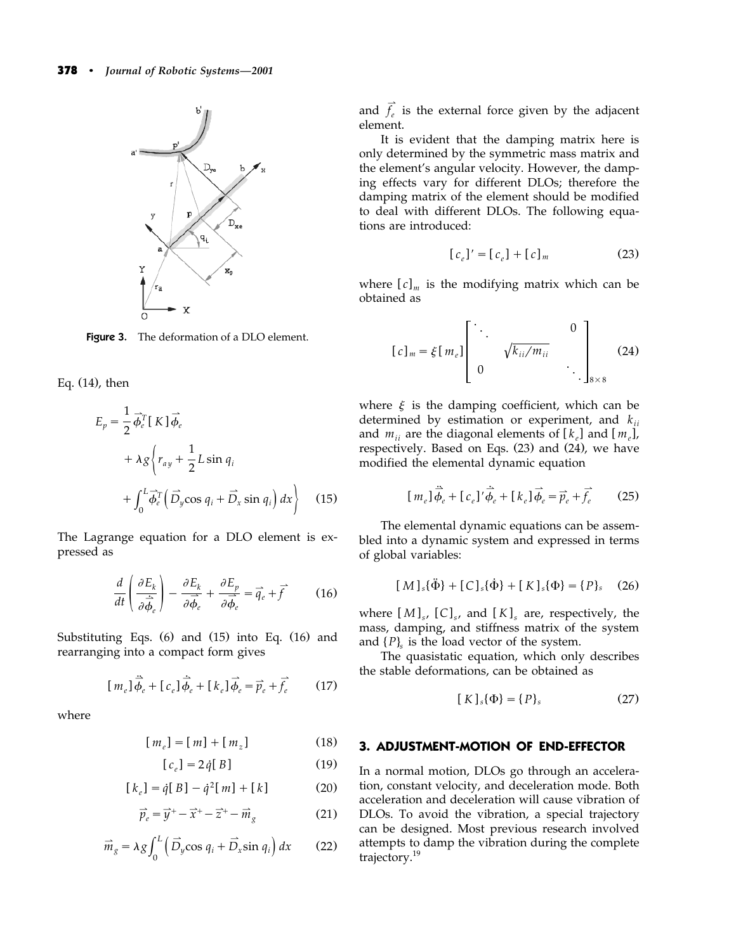

**Figure 3.** The deformation of a DLO element.

Eq.  $(14)$ , then

$$
E_p = \frac{1}{2} \vec{\phi}_e^T [K] \vec{\phi}_e
$$
  
+  $\lambda g \left\{ r_{ay} + \frac{1}{2} L \sin q_i$   
+  $\int_0^L \vec{\phi}_e^T (\vec{D}_y \cos q_i + \vec{D}_x \sin q_i) dx \right\}$  (15)

The Lagrange equation for a DLO element is expressed as

$$
\frac{d}{dt}\left(\frac{\partial E_k}{\partial \dot{\vec{\phi}}_{e}}\right) - \frac{\partial E_k}{\partial \vec{\phi}_{e}} + \frac{\partial E_p}{\partial \vec{\phi}_{e}} = \vec{q}_{e} + \vec{f} \tag{16}
$$

Substituting Eqs.  $(6)$  and  $(15)$  into Eq.  $(16)$  and rearranging into a compact form gives

$$
[m_e]\ddot{\vec{\phi}}_e + [c_e]\dot{\vec{\phi}}_e + [k_e]\vec{\phi}_e = \vec{p}_e + \vec{f}_e \qquad (17)
$$

where

$$
[m_e] = [m] + [m_z]
$$
 (18)

$$
[c_e] = 2\dot{q}[B] \tag{19}
$$

$$
[k_e] = \dot{q}[B] - \dot{q}^2[m] + [k] \tag{20}
$$

$$
\vec{p}_e = \vec{y}^+ - \vec{x}^+ - \vec{z}^+ - \vec{m}_g \tag{21}
$$

$$
\vec{m}_g = \lambda g \int_0^L \left( \vec{D}_y \cos q_i + \vec{D}_x \sin q_i \right) dx \qquad (22)
$$

and  $\vec{f}_e$  is the external force given by the adjacent element.

It is evident that the damping matrix here is only determined by the symmetric mass matrix and the element's angular velocity. However, the damping effects vary for different DLOs; therefore the damping matrix of the element should be modified to deal with different DLOs. The following equations are introduced:

$$
[c_e]' = [c_e] + [c]_m \tag{23}
$$

where  $[c]_m$  is the modifying matrix which can be obtained as

$$
[c]_m = \xi[m_e] \begin{bmatrix} \ddots & & & 0 \\ & \sqrt{k_{ii}/m_{ii}} & & \\ 0 & & \ddots & \\ 0 & & & \ddots \end{bmatrix}_{8 \times 8}
$$
 (24)

where  $\xi$  is the damping coefficient, which can be determined by estimation or experiment, and *kii* and  $m_{ii}$  are the diagonal elements of  $\left[k_{\rho}\right]$  and  $\left[m_{\rho}\right]$ , respectively. Based on Eqs.  $(23)$  and  $(24)$ , we have modified the elemental dynamic equation

$$
[m_e]\ddot{\vec{\phi}}_e + [c_e]'\dot{\vec{\phi}}_e + [k_e]\vec{\phi}_e = \vec{p}_e + \vec{f}_e \qquad (25)
$$

The elemental dynamic equations can be assembled into a dynamic system and expressed in terms of global variables:

$$
[M]_s\{\ddot{\Phi}\} + [C]_s\{\dot{\Phi}\} + [K]_s\{\Phi\} = \{P\}_s \quad (26)
$$

where  $[M]_{s}$ ,  $[C]_{s}$ , and  $[K]_{s}$  are, respectively, the mass, damping, and stiffness matrix of the system and  $\{P\}$  is the load vector of the system.

The quasistatic equation, which only describes the stable deformations, can be obtained as

$$
[K]_s\{\Phi\} = \{P\}_s \tag{27}
$$

## **3. ADJUSTMENT-MOTION OF END-EFFECTOR**

In a normal motion, DLOs go through an acceleration, constant velocity, and deceleration mode. Both acceleration and deceleration will cause vibration of DLOs. To avoid the vibration, a special trajectory can be designed. Most previous research involved attempts to damp the vibration during the complete trajectory. 19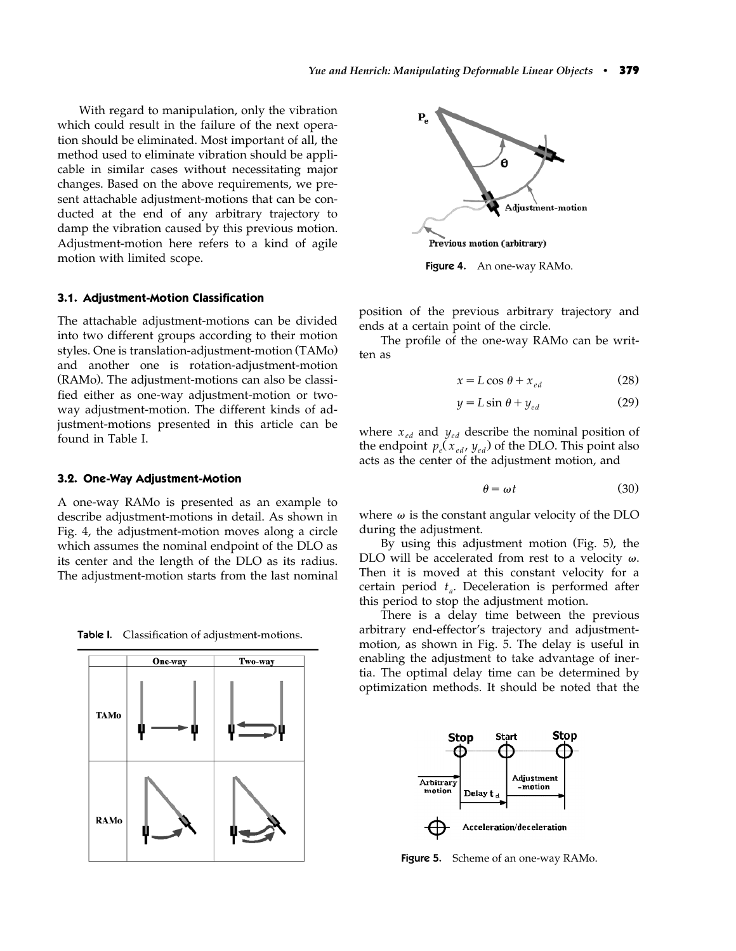With regard to manipulation, only the vibration which could result in the failure of the next operation should be eliminated. Most important of all, the method used to eliminate vibration should be applicable in similar cases without necessitating major changes. Based on the above requirements, we present attachable adjustment-motions that can be conducted at the end of any arbitrary trajectory to damp the vibration caused by this previous motion. Adjustment-motion here refers to a kind of agile motion with limited scope.

### **3.1. Adjustment-Motion Classification**

The attachable adjustment-motions can be divided into two different groups according to their motion styles. One is translation-adjustment-motion (TAMo) and another one is rotation-adjustment-motion (RAMo). The adjustment-motions can also be classified either as one-way adjustment-motion or twoway adjustment-motion. The different kinds of adjustment-motions presented in this article can be found in Table I.

#### **3.2. One-Way Adjustment-Motion**

A one-way RAMo is presented as an example to describe adjustment-motions in detail. As shown in Fig. 4, the adjustment-motion moves along a circle which assumes the nominal endpoint of the DLO as its center and the length of the DLO as its radius. The adjustment-motion starts from the last nominal

Table I. Classification of adjustment-motions.





Figure 4. An one-way RAMo.

position of the previous arbitrary trajectory and ends at a certain point of the circle.

The profile of the one-way RAMo can be written as

$$
x = L\cos\theta + x_{ed} \tag{28}
$$

$$
y = L\sin\theta + y_{ed} \tag{29}
$$

where  $x_{ed}$  and  $y_{ed}$  describe the nominal position of the endpoint  $p_e(x_{ed}, y_{ed})$  of the DLO. This point also acts as the center of the adjustment motion, and

$$
\theta = \omega t \tag{30}
$$

where  $\omega$  is the constant angular velocity of the DLO during the adjustment.

By using this adjustment motion (Fig.  $5$ ), the DLO will be accelerated from rest to a velocity  $\omega$ . Then it is moved at this constant velocity for a certain period  $t_a$ . Deceleration is performed after this period to stop the adjustment motion.

There is a delay time between the previous arbitrary end-effector's trajectory and adjustmentmotion, as shown in Fig. 5. The delay is useful in enabling the adjustment to take advantage of inertia. The optimal delay time can be determined by optimization methods. It should be noted that the



Figure 5. Scheme of an one-way RAMo.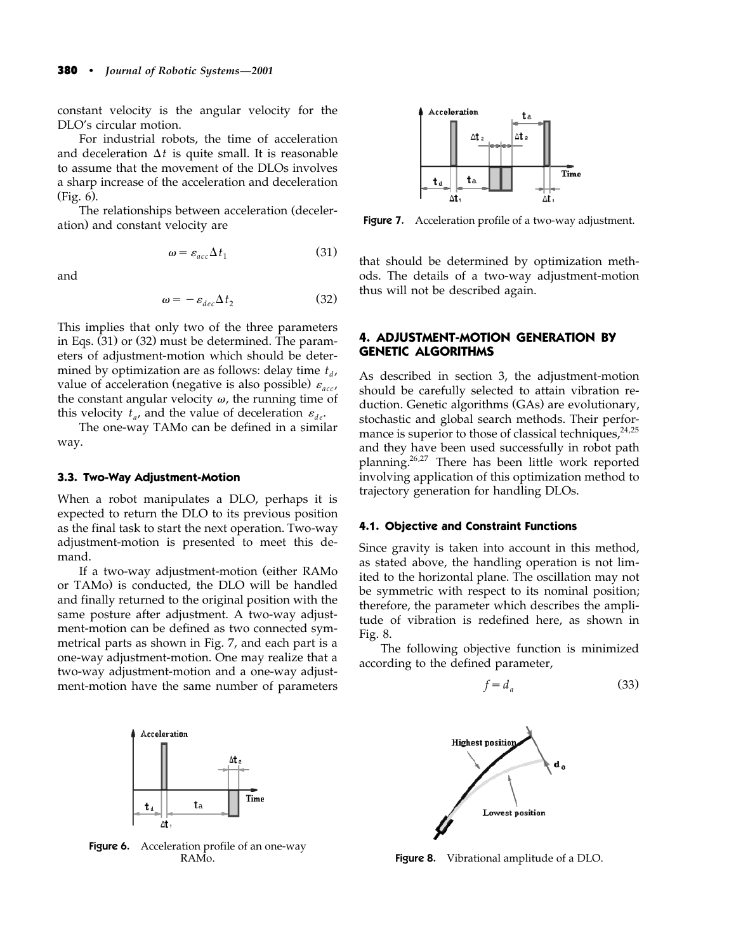constant velocity is the angular velocity for the DLO's circular motion.

For industrial robots, the time of acceleration and deceleration  $\Delta t$  is quite small. It is reasonable to assume that the movement of the DLOs involves a sharp increase of the acceleration and deceleration  $(Fig. 6)$ .

The relationships between acceleration (deceleration) and constant velocity are

$$
\omega = \varepsilon_{acc} \Delta t_1 \tag{31}
$$

and

$$
\omega = -\varepsilon_{dec}\Delta t_2 \tag{32}
$$

This implies that only two of the three parameters in Eqs.  $(31)$  or  $(32)$  must be determined. The parameters of adjustment-motion which should be determined by optimization are as follows: delay time  $t_d$ , value of acceleration (negative is also possible)  $\varepsilon_{acc}$ the constant angular velocity  $\omega$ , the running time of this velocity  $t_a$ , and the value of deceleration  $\varepsilon_{de}$ .

The one-way TAMo can be defined in a similar way.

#### **3.3. Two-Way Adjustment-Motion**

When a robot manipulates a DLO, perhaps it is expected to return the DLO to its previous position as the final task to start the next operation. Two-way adjustment-motion is presented to meet this demand.

If a two-way adjustment-motion (either RAMo or TAMo) is conducted, the DLO will be handled and finally returned to the original position with the same posture after adjustment. A two-way adjustment-motion can be defined as two connected symmetrical parts as shown in Fig. 7, and each part is a one-way adjustment-motion. One may realize that a two-way adjustment-motion and a one-way adjustment-motion have the same number of parameters



Figure 6. Acceleration profile of an one-way RAMo.



Figure 7. Acceleration profile of a two-way adjustment.

that should be determined by optimization methods. The details of a two-way adjustment-motion thus will not be described again.

## **4. ADJUSTMENT-MOTION GENERATION BY GENETIC ALGORITHMS**

As described in section 3, the adjustment-motion should be carefully selected to attain vibration reduction. Genetic algorithms (GAs) are evolutionary, stochastic and global search methods. Their performance is superior to those of classical techniques,  $24.25$ and they have been used successfully in robot path planning. 26,27 There has been little work reported involving application of this optimization method to trajectory generation for handling DLOs.

#### **4.1. Objective and Constraint Functions**

Since gravity is taken into account in this method, as stated above, the handling operation is not limited to the horizontal plane. The oscillation may not be symmetric with respect to its nominal position; therefore, the parameter which describes the amplitude of vibration is redefined here, as shown in Fig. 8.

The following objective function is minimized according to the defined parameter,

$$
f = d_a \tag{33}
$$



Figure 8. Vibrational amplitude of a DLO.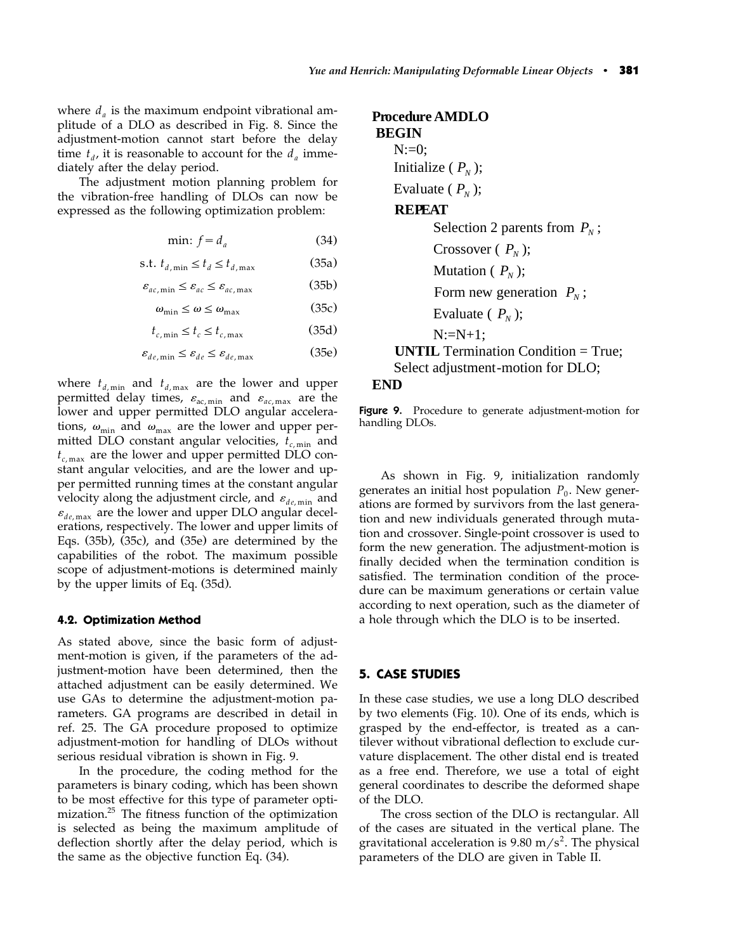where  $d_a$  is the maximum endpoint vibrational amplitude of a DLO as described in Fig. 8. Since the adjustment-motion cannot start before the delay time  $t_d$ , it is reasonable to account for the  $d_a$  immediately after the delay period.

The adjustment motion planning problem for the vibration-free handling of DLOs can now be expressed as the following optimization problem:

$$
\min: f = d_a \tag{34}
$$

$$
\text{s.t. } t_{d, \min} \le t_d \le t_{d, \max} \tag{35a}
$$

$$
\varepsilon_{ac,\min} \le \varepsilon_{ac} \le \varepsilon_{ac,\max} \tag{35b}
$$

$$
\omega_{\min} \le \omega \le \omega_{\max} \tag{35c}
$$

$$
t_{c,\min} \le t_c \le t_{c,\max} \tag{35d}
$$

 $\varepsilon_{de,\min} \leq \varepsilon_{de} \leq \varepsilon_{de,\max}$  (35e)

where  $t_{d,min}$  and  $t_{d,max}$  are the lower and upper permitted delay times,  $\varepsilon_{ac,min}$  and  $\varepsilon_{ac,max}$  are the lower and upper permitted DLO angular accelerations,  $\omega_{\min}$  and  $\omega_{\max}$  are the lower and upper permitted DLO constant angular velocities,  $t_{c,\text{min}}$  and  $t_{c, \text{max}}$  are the lower and upper permitted DLO constant angular velocities, and are the lower and upper permitted running times at the constant angular velocity along the adjustment circle, and  $\varepsilon_{de,min}$  and  $\varepsilon_{de, \text{max}}$  are the lower and upper DLO angular decelerations, respectively. The lower and upper limits of Eqs.  $(35b)$ ,  $(35c)$ , and  $(35e)$  are determined by the capabilities of the robot. The maximum possible scope of adjustment-motions is determined mainly by the upper limits of Eq.  $(35d)$ .

#### **4.2. Optimization Method**

As stated above, since the basic form of adjustment-motion is given, if the parameters of the adjustment-motion have been determined, then the attached adjustment can be easily determined. We use GAs to determine the adjustment-motion parameters. GA programs are described in detail in ref. 25. The GA procedure proposed to optimize adjustment-motion for handling of DLOs without serious residual vibration is shown in Fig. 9.

In the procedure, the coding method for the parameters is binary coding, which has been shown to be most effective for this type of parameter optimization. <sup>25</sup> The fitness function of the optimization is selected as being the maximum amplitude of deflection shortly after the delay period, which is the same as the objective function Eq.  $(34)$ .

**Procedure AMDLO BEGIN**   $N:=0$ : Initialize  $(P_{N})$ ; Evaluate  $(P_N)$ ; **REPEAT**  Selection 2 parents from  $P_N$ ; Crossover  $(P_N)$ ; Mutation  $(P_N)$ ; Form new generation  $P_N$ ; Evaluate  $(P<sub>N</sub>)$ ;  $N:=N+1$ : **UNTIL** Termination Condition = True; Select adjustment-motion for DLO; **END** 

Figure 9. Procedure to generate adjustment-motion for handling DLOs.

As shown in Fig. 9, initialization randomly generates an initial host population  $P_0$ . New generations are formed by survivors from the last generation and new individuals generated through mutation and crossover. Single-point crossover is used to form the new generation. The adjustment-motion is finally decided when the termination condition is satisfied. The termination condition of the procedure can be maximum generations or certain value according to next operation, such as the diameter of a hole through which the DLO is to be inserted.

#### **5. CASE STUDIES**

In these case studies, we use a long DLO described by two elements (Fig. 10). One of its ends, which is grasped by the end-effector, is treated as a cantilever without vibrational deflection to exclude curvature displacement. The other distal end is treated as a free end. Therefore, we use a total of eight general coordinates to describe the deformed shape of the DLO.

The cross section of the DLO is rectangular. All of the cases are situated in the vertical plane. The gravitational acceleration is 9.80 m/s<sup>2</sup>. The physical parameters of the DLO are given in Table II.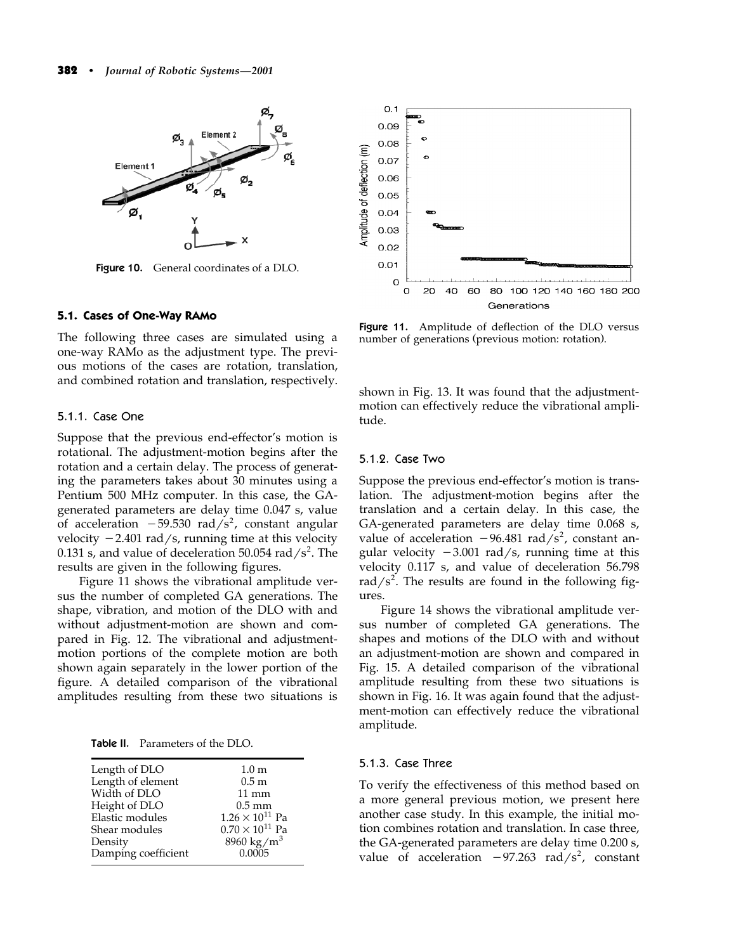

Figure 10. General coordinates of a DLO.

#### **5.1. Cases of One-Way RAMo**

The following three cases are simulated using a one-way RAMo as the adjustment type. The previous motions of the cases are rotation, translation, and combined rotation and translation, respectively.

#### 5.1.1. Case One

Suppose that the previous end-effector's motion is rotational. The adjustment-motion begins after the rotation and a certain delay. The process of generating the parameters takes about 30 minutes using a Pentium 500 MHz computer. In this case, the GAgenerated parameters are delay time 0.047 s, value of acceleration  $-59.530$  rad/s<sup>2</sup>, constant angular velocity  $-2.401$  rad/s, running time at this velocity 0.131 s, and value of deceleration 50.054  $\text{rad/s}^2$ . The results are given in the following figures.

Figure 11 shows the vibrational amplitude versus the number of completed GA generations. The shape, vibration, and motion of the DLO with and without adjustment-motion are shown and compared in Fig. 12. The vibrational and adjustmentmotion portions of the complete motion are both shown again separately in the lower portion of the figure. A detailed comparison of the vibrational amplitudes resulting from these two situations is

Table II. Parameters of the DLO.

| Length of DLO       | 1.0 <sub>m</sub>         |
|---------------------|--------------------------|
| Length of element   | 0.5 <sub>m</sub>         |
| Width of DLO        | $11 \text{ mm}$          |
| Height of DLO       | $0.5 \text{ mm}$         |
| Elastic modules     | $1.26 \times 10^{11}$ Pa |
| Shear modules       | $0.70 \times 10^{11}$ Pa |
| Density             | 8960 kg/m <sup>3</sup>   |
| Damping coefficient | 0.0005                   |
|                     |                          |



Figure 11. Amplitude of deflection of the DLO versus number of generations (previous motion: rotation).

shown in Fig. 13. It was found that the adjustmentmotion can effectively reduce the vibrational amplitude.

#### 5.1.2. Case Two

Suppose the previous end-effector's motion is translation. The adjustment-motion begins after the translation and a certain delay. In this case, the GA-generated parameters are delay time 0.068 s, value of acceleration  $-96.481$  rad/s<sup>2</sup>, constant angular velocity  $-3.001$  rad/s, running time at this velocity 0.117 s, and value of deceleration 56.798 rad/ $s^2$ . The results are found in the following figures.

Figure 14 shows the vibrational amplitude versus number of completed GA generations. The shapes and motions of the DLO with and without an adjustment-motion are shown and compared in Fig. 15. A detailed comparison of the vibrational amplitude resulting from these two situations is shown in Fig. 16. It was again found that the adjustment-motion can effectively reduce the vibrational amplitude.

## 5.1.3. Case Three

To verify the effectiveness of this method based on a more general previous motion, we present here another case study. In this example, the initial motion combines rotation and translation. In case three, the GA-generated parameters are delay time 0.200 s, value of acceleration  $-97.263$  rad/s<sup>2</sup>, constant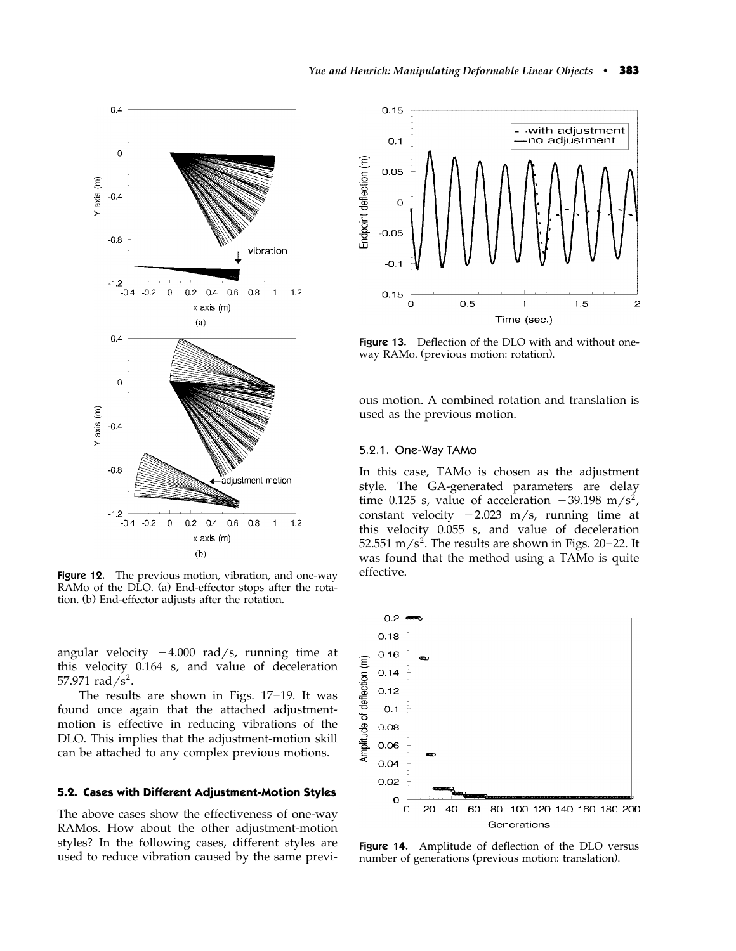

**Figure 12.** The previous motion, vibration, and one-way RAMo of the DLO. (a) End-effector stops after the rotation. (b) End-effector adjusts after the rotation.

angular velocity  $-4.000$  rad/s, running time at this velocity 0.164 s, and value of deceleration 57.971  $\text{rad/s}^2$ .

The results are shown in Figs.  $17-19$ . It was found once again that the attached adjustmentmotion is effective in reducing vibrations of the DLO. This implies that the adjustment-motion skill can be attached to any complex previous motions.

#### **5.2. Cases with Different Adjustment-Motion Styles**

The above cases show the effectiveness of one-way RAMos. How about the other adjustment-motion styles? In the following cases, different styles are used to reduce vibration caused by the same previ-



**Figure 13.** Deflection of the DLO with and without oneway RAMo. (previous motion: rotation).

ous motion. A combined rotation and translation is used as the previous motion.

#### 5.2.1. One-Way TAMo

In this case, TAMo is chosen as the adjustment style. The GA-generated parameters are delay time 0.125 s, value of acceleration  $-39.198 \text{ m/s}^2$ , constant velocity  $-2.023$  m/s, running time at this velocity 0.055 s, and value of deceleration 52.551 m/s<sup>2</sup>. The results are shown in Figs. 20–22. It was found that the method using a TAMo is quite effective.



Figure 14. Amplitude of deflection of the DLO versus number of generations (previous motion: translation).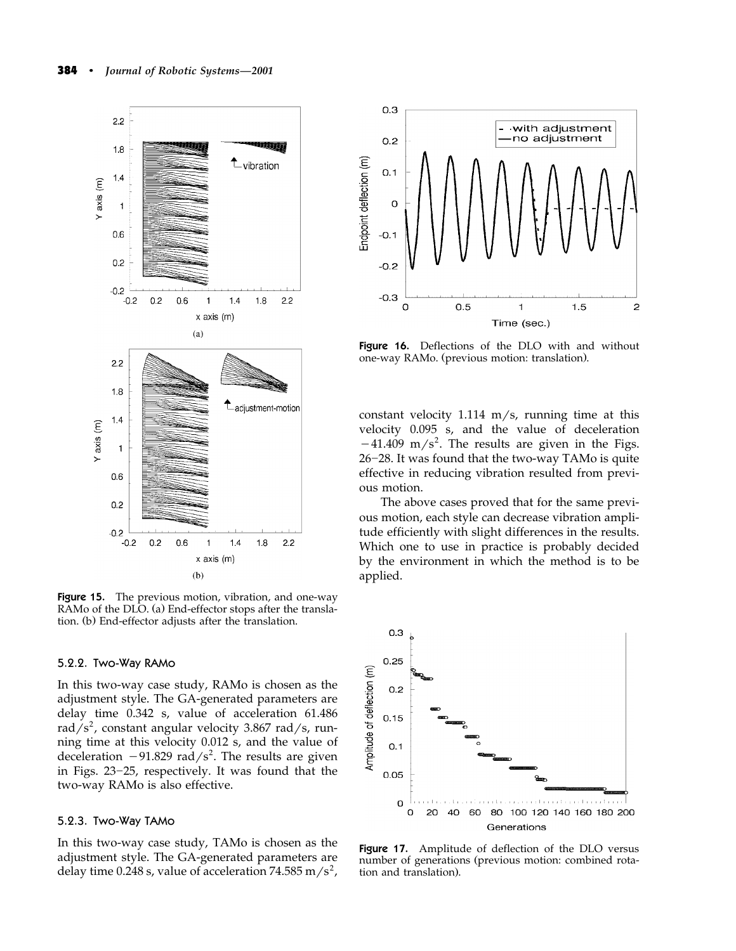

**Figure 15.** The previous motion, vibration, and one-way RAMo of the DLO. (a) End-effector stops after the translation. (b) End-effector adjusts after the translation.

### 5.2.2. Two-Way RAMo

In this two-way case study, RAMo is chosen as the adjustment style. The GA-generated parameters are delay time 0.342 s, value of acceleration 61.486 rad/s<sup>2</sup>, constant angular velocity 3.867 rad/s, running time at this velocity 0.012 s, and the value of deceleration  $-91.829$  rad/s<sup>2</sup>. The results are given in Figs. 23-25, respectively. It was found that the two-way RAMo is also effective.

### 5.2.3. Two-Way TAMo

In this two-way case study, TAMo is chosen as the adjustment style. The GA-generated parameters are delay time 0.248 s, value of acceleration 74.585 m/s<sup>2</sup>,



Figure 16. Deflections of the DLO with and without one-way RAMo. (previous motion: translation).

constant velocity 1.114 m/s, running time at this velocity 0.095 s, and the value of deceleration  $-41.409$  m/s<sup>2</sup>. The results are given in the Figs. 26-28. It was found that the two-way TAMo is quite effective in reducing vibration resulted from previous motion.

The above cases proved that for the same previous motion, each style can decrease vibration amplitude efficiently with slight differences in the results. Which one to use in practice is probably decided by the environment in which the method is to be applied.



Figure 17. Amplitude of deflection of the DLO versus number of generations (previous motion: combined rotation and translation).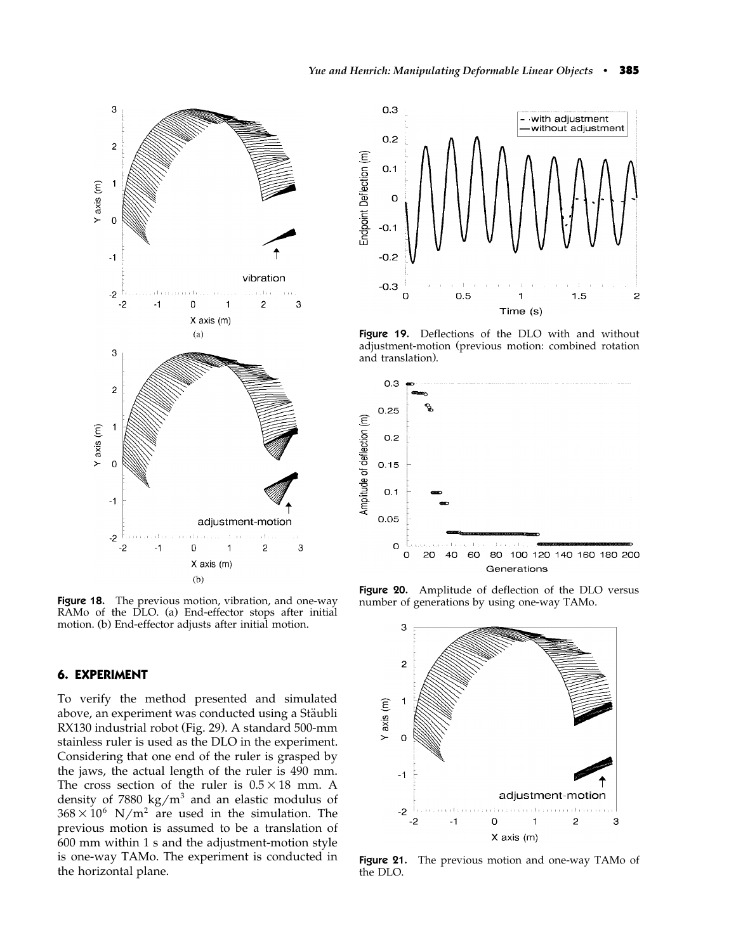

**Figure 18.** The previous motion, vibration, and one-way RAMo of the DLO. (a) End-effector stops after initial motion. (b) End-effector adjusts after initial motion.

## **6. EXPERIMENT**

To verify the method presented and simulated above, an experiment was conducted using a Stäubli RX130 industrial robot (Fig. 29). A standard 500-mm stainless ruler is used as the DLO in the experiment. Considering that one end of the ruler is grasped by the jaws, the actual length of the ruler is 490 mm. The cross section of the ruler is  $0.5 \times 18$  mm. A density of 7880 kg/m<sup>3</sup> and an elastic modulus of  $368 \times 10^6$  N/m<sup>2</sup> are used in the simulation. The previous motion is assumed to be a translation of 600 mm within 1 s and the adjustment-motion style is one-way TAMo. The experiment is conducted in the horizontal plane.



Figure 19. Deflections of the DLO with and without adjustment-motion (previous motion: combined rotation and translation).



Figure 20. Amplitude of deflection of the DLO versus number of generations by using one-way TAMo.



Figure 21. The previous motion and one-way TAMo of the DLO.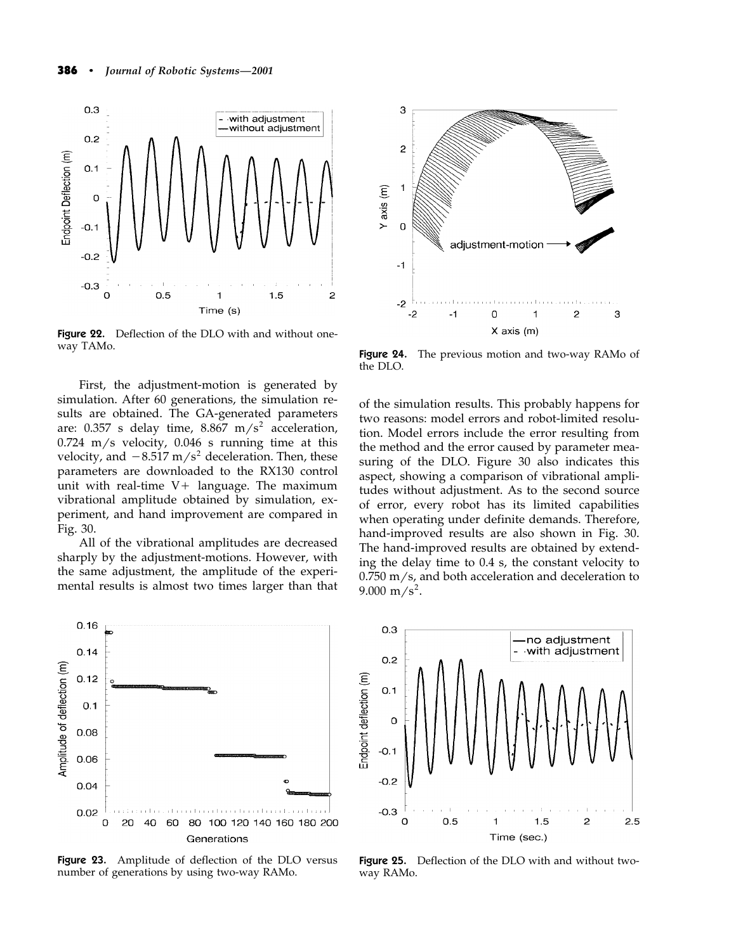

**Figure 22.** Deflection of the DLO with and without oneway TAMo.

First, the adjustment-motion is generated by simulation. After 60 generations, the simulation results are obtained. The GA-generated parameters are: 0.357 s delay time, 8.867 m/s<sup>2</sup> acceleration,  $0.724 \,$  m/s velocity,  $0.046 \,$  s running time at this velocity, and  $-8.517$  m/s<sup>2</sup> deceleration. Then, these parameters are downloaded to the RX130 control unit with real-time  $V +$  language. The maximum vibrational amplitude obtained by simulation, experiment, and hand improvement are compared in Fig. 30.

All of the vibrational amplitudes are decreased sharply by the adjustment-motions. However, with the same adjustment, the amplitude of the experimental results is almost two times larger than that



Figure 23. Amplitude of deflection of the DLO versus number of generations by using two-way RAMo.



Figure 24. The previous motion and two-way RAMo of the DLO.

of the simulation results. This probably happens for two reasons: model errors and robot-limited resolution. Model errors include the error resulting from the method and the error caused by parameter measuring of the DLO. Figure 30 also indicates this aspect, showing a comparison of vibrational amplitudes without adjustment. As to the second source of error, every robot has its limited capabilities when operating under definite demands. Therefore, hand-improved results are also shown in Fig. 30. The hand-improved results are obtained by extending the delay time to 0.4 s, the constant velocity to  $0.750$  m/s, and both acceleration and deceleration to  $9.000 \text{ m/s}^2$ .



Figure 25. Deflection of the DLO with and without twoway RAMo.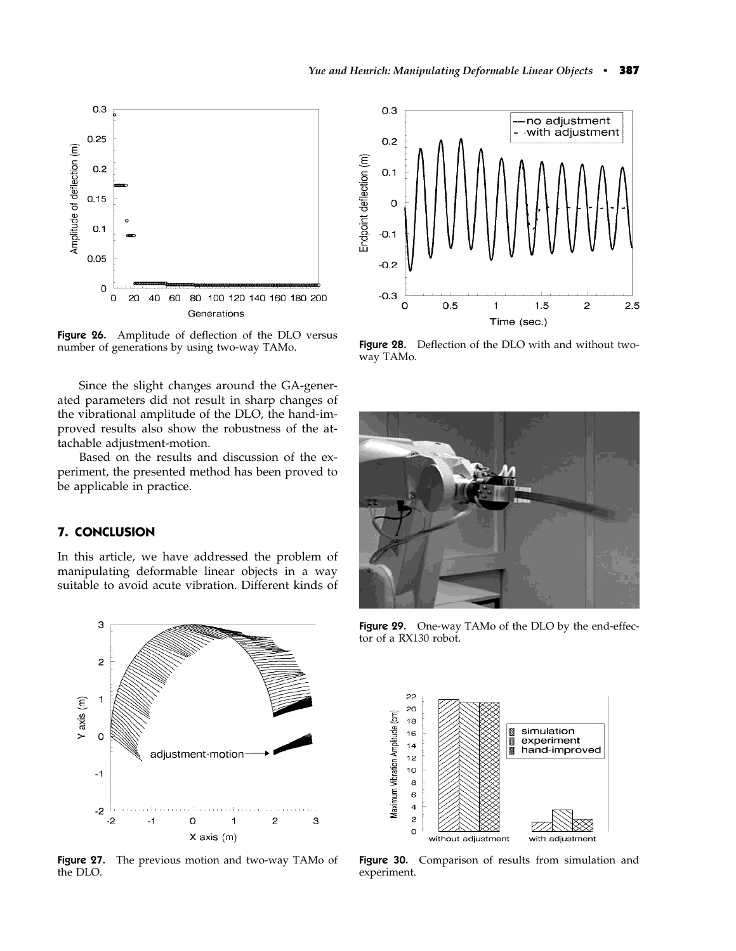

Figure 26. Amplitude of deflection of the DLO versus number of generations by using two-way TAMo.

Since the slight changes around the GA-generated parameters did not result in sharp changes of the vibrational amplitude of the DLO, the hand-improved results also show the robustness of the attachable adjustment-motion.

Based on the results and discussion of the experiment, the presented method has been proved to be applicable in practice.

## **7. CONCLUSION**

In this article, we have addressed the problem of manipulating deformable linear objects in a way suitable to avoid acute vibration. Different kinds of



Figure 27. The previous motion and two-way TAMo of the DLO.



Figure 28. Deflection of the DLO with and without twoway TAMo.



Figure 29. One-way TAMo of the DLO by the end-effector of a RX130 robot.



Figure 30. Comparison of results from simulation and experiment.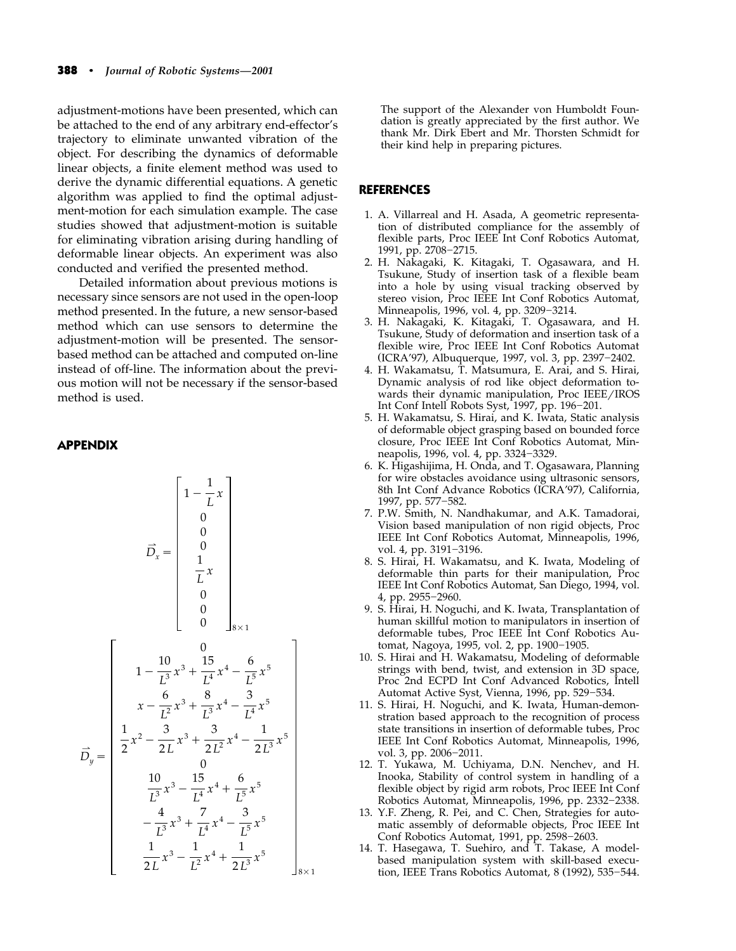adjustment-motions have been presented, which can be attached to the end of any arbitrary end-effector's trajectory to eliminate unwanted vibration of the object. For describing the dynamics of deformable linear objects, a finite element method was used to derive the dynamic differential equations. A genetic algorithm was applied to find the optimal adjustment-motion for each simulation example. The case studies showed that adjustment-motion is suitable for eliminating vibration arising during handling of deformable linear objects. An experiment was also conducted and verified the presented method.

Detailed information about previous motions is necessary since sensors are not used in the open-loop method presented. In the future, a new sensor-based method which can use sensors to determine the adjustment-motion will be presented. The sensorbased method can be attached and computed on-line instead of off-line. The information about the previous motion will not be necessary if the sensor-based method is used.

## **APPENDIX**

$$
\vec{D}_x = \begin{bmatrix}\n1 - \frac{1}{L}x \\
0 \\
0 \\
0 \\
1 \\
\frac{1}{L}x \\
0 \\
0 \\
0\n\end{bmatrix}
$$
\n
$$
\vec{D}_x = \begin{bmatrix}\n1 - \frac{1}{L}x \\
0 \\
0 \\
0 \\
0 \\
0\n\end{bmatrix}
$$
\n
$$
1 - \frac{10}{L^3}x^3 + \frac{15}{L^4}x^4 - \frac{6}{L^5}x^5 \\
x - \frac{6}{L^2}x^3 + \frac{8}{L^3}x^4 - \frac{3}{L^4}x^5 \\
\frac{1}{2}x^2 - \frac{3}{2L}x^3 + \frac{3}{2L^2}x^4 - \frac{1}{2L^3}x^5 \\
0 \\
\frac{10}{L^3}x^3 - \frac{15}{L^4}x^4 + \frac{6}{L^5}x^5 \\
-\frac{4}{L^3}x^3 + \frac{7}{L^4}x^4 - \frac{3}{L^5}x^5 \\
\frac{1}{2L}x^3 - \frac{1}{L^2}x^4 + \frac{1}{2L^3}x^5\n\end{bmatrix}
$$
\n
$$
8 \times 1
$$

The support of the Alexander von Humboldt Foundation is greatly appreciated by the first author. We thank Mr. Dirk Ebert and Mr. Thorsten Schmidt for their kind help in preparing pictures.

## **REFERENCES**

- 1. A. Villarreal and H. Asada, A geometric representation of distributed compliance for the assembly of flexible parts, Proc IEEE Int Conf Robotics Automat, 1991, pp. 2708-2715.
- 2. H. Nakagaki, K. Kitagaki, T. Ogasawara, and H. Tsukune, Study of insertion task of a flexible beam into a hole by using visual tracking observed by stereo vision, Proc IEEE Int Conf Robotics Automat, Minneapolis, 1996, vol. 4, pp. 3209–3214.
- 3. H. Nakagaki, K. Kitagaki, T. Ogasawara, and H. Tsukune, Study of deformation and insertion task of a flexible wire, Proc IEEE Int Conf Robotics Automat (ICRA'97), Albuquerque, 1997, vol. 3, pp. 2397-2402.
- 4. H. Wakamatsu, T. Matsumura, E. Arai, and S. Hirai, Dynamic analysis of rod like object deformation towards their dynamic manipulation, Proc IEEE/IROS Int Conf Intell Robots Syst, 1997, pp. 196-201.
- 5. H. Wakamatsu, S. Hirai, and K. Iwata, Static analysis of deformable object grasping based on bounded force closure, Proc IEEE Int Conf Robotics Automat, Minneapolis, 1996, vol. 4, pp. 3324-3329.
- 6. K. Higashijima, H. Onda, and T. Ogasawara, Planning for wire obstacles avoidance using ultrasonic sensors, 8th Int Conf Advance Robotics (ICRA'97), California, 1997, pp. 577-582.
- 7. P.W. Smith, N. Nandhakumar, and A.K. Tamadorai, Vision based manipulation of non rigid objects, Proc IEEE Int Conf Robotics Automat, Minneapolis, 1996, vol. 4, pp. 3191-3196.
- 8. S. Hirai, H. Wakamatsu, and K. Iwata, Modeling of deformable thin parts for their manipulation, Proc IEEE Int Conf Robotics Automat, San Diego, 1994, vol. 4, pp. 2955-2960.
- 9. S. Hirai, H. Noguchi, and K. Iwata, Transplantation of human skillful motion to manipulators in insertion of deformable tubes, Proc IEEE Int Conf Robotics Automat, Nagoya, 1995, vol. 2, pp. 1900-1905.
- 10. S. Hirai and H. Wakamatsu, Modeling of deformable strings with bend, twist, and extension in 3D space, Proc 2nd ECPD Int Conf Advanced Robotics, Intell Automat Active Syst, Vienna, 1996, pp. 529-534.
- 11. S. Hirai, H. Noguchi, and K. Iwata, Human-demonstration based approach to the recognition of process state transitions in insertion of deformable tubes, Proc IEEE Int Conf Robotics Automat, Minneapolis, 1996, vol. 3, pp. 2006–2011.
- 12. T. Yukawa, M. Uchiyama, D.N. Nenchev, and H. Inooka, Stability of control system in handling of a flexible object by rigid arm robots, Proc IEEE Int Conf Robotics Automat, Minneapolis, 1996, pp. 2332-2338.
- 13. Y.F. Zheng, R. Pei, and C. Chen, Strategies for automatic assembly of deformable objects, Proc IEEE Int Conf Robotics Automat, 1991, pp. 2598-2603.
- 14. T. Hasegawa, T. Suehiro, and T. Takase, A modelbased manipulation system with skill-based execution, IEEE Trans Robotics Automat, 8 (1992), 535-544.